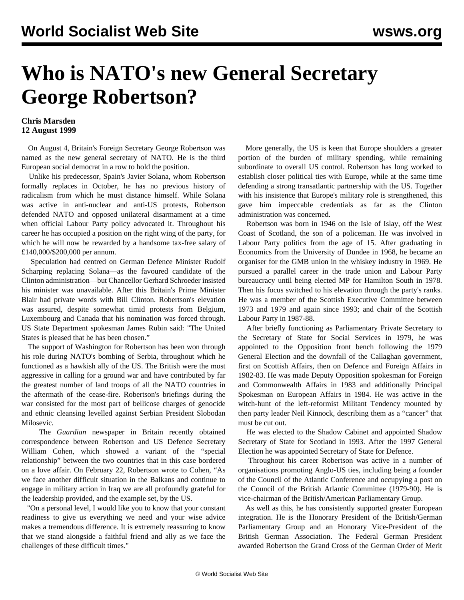## **Who is NATO's new General Secretary George Robertson?**

## **Chris Marsden 12 August 1999**

 On August 4, Britain's Foreign Secretary George Robertson was named as the new general secretary of NATO. He is the third European social democrat in a row to hold the position.

 Unlike his predecessor, Spain's Javier Solana, whom Robertson formally replaces in October, he has no previous history of radicalism from which he must distance himself. While Solana was active in anti-nuclear and anti-US protests, Robertson defended NATO and opposed unilateral disarmament at a time when official Labour Party policy advocated it. Throughout his career he has occupied a position on the right wing of the party, for which he will now be rewarded by a handsome tax-free salary of £140,000/\$200,000 per annum.

 Speculation had centred on German Defence Minister Rudolf Scharping replacing Solana—as the favoured candidate of the Clinton administration—but Chancellor Gerhard Schroeder insisted his minister was unavailable. After this Britain's Prime Minister Blair had private words with Bill Clinton. Robertson's elevation was assured, despite somewhat timid protests from Belgium, Luxembourg and Canada that his nomination was forced through. US State Department spokesman James Rubin said: "The United States is pleased that he has been chosen."

 The support of Washington for Robertson has been won through his role during NATO's bombing of Serbia, throughout which he functioned as a hawkish ally of the US. The British were the most aggressive in calling for a ground war and have contributed by far the greatest number of land troops of all the NATO countries in the aftermath of the cease-fire. Robertson's briefings during the war consisted for the most part of bellicose charges of genocide and ethnic cleansing levelled against Serbian President Slobodan Milosevic.

 The *Guardian* newspaper in Britain recently obtained correspondence between Robertson and US Defence Secretary William Cohen, which showed a variant of the "special relationship" between the two countries that in this case bordered on a love affair. On February 22, Robertson wrote to Cohen, "As we face another difficult situation in the Balkans and continue to engage in military action in Iraq we are all profoundly grateful for the leadership provided, and the example set, by the US.

 "On a personal level, I would like you to know that your constant readiness to give us everything we need and your wise advice makes a tremendous difference. It is extremely reassuring to know that we stand alongside a faithful friend and ally as we face the challenges of these difficult times."

 More generally, the US is keen that Europe shoulders a greater portion of the burden of military spending, while remaining subordinate to overall US control. Robertson has long worked to establish closer political ties with Europe, while at the same time defending a strong transatlantic partnership with the US. Together with his insistence that Europe's military role is strengthened, this gave him impeccable credentials as far as the Clinton administration was concerned.

 Robertson was born in 1946 on the Isle of Islay, off the West Coast of Scotland, the son of a policeman. He was involved in Labour Party politics from the age of 15. After graduating in Economics from the University of Dundee in 1968, he became an organiser for the GMB union in the whiskey industry in 1969. He pursued a parallel career in the trade union and Labour Party bureaucracy until being elected MP for Hamilton South in 1978. Then his focus switched to his elevation through the party's ranks. He was a member of the Scottish Executive Committee between 1973 and 1979 and again since 1993; and chair of the Scottish Labour Party in 1987-88.

 After briefly functioning as Parliamentary Private Secretary to the Secretary of State for Social Services in 1979, he was appointed to the Opposition front bench following the 1979 General Election and the downfall of the Callaghan government, first on Scottish Affairs, then on Defence and Foreign Affairs in 1982-83. He was made Deputy Opposition spokesman for Foreign and Commonwealth Affairs in 1983 and additionally Principal Spokesman on European Affairs in 1984. He was active in the witch-hunt of the left-reformist Militant Tendency mounted by then party leader Neil Kinnock, describing them as a "cancer" that must be cut out.

 He was elected to the Shadow Cabinet and appointed Shadow Secretary of State for Scotland in 1993. After the 1997 General Election he was appointed Secretary of State for Defence.

 Throughout his career Robertson was active in a number of organisations promoting Anglo-US ties, including being a founder of the Council of the Atlantic Conference and occupying a post on the Council of the British Atlantic Committee (1979-90). He is vice-chairman of the British/American Parliamentary Group.

 As well as this, he has consistently supported greater European integration. He is the Honorary President of the British/German Parliamentary Group and an Honorary Vice-President of the British German Association. The Federal German President awarded Robertson the Grand Cross of the German Order of Merit